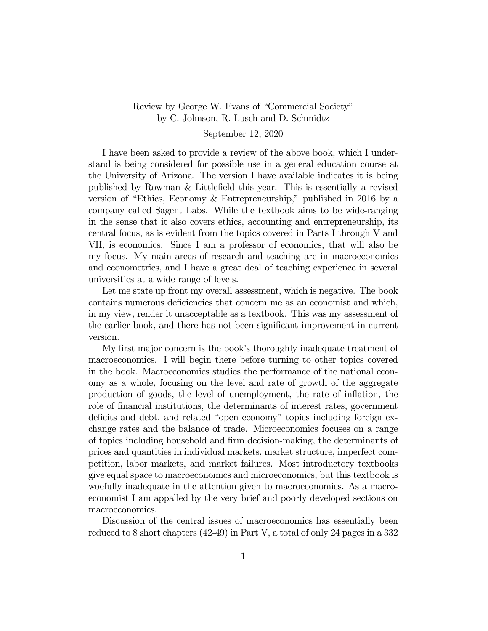## Review by George W. Evans of "Commercial Society" by C. Johnson, R. Lusch and D. Schmidtz

## September 12, 2020

I have been asked to provide a review of the above book, which I understand is being considered for possible use in a general education course at the University of Arizona. The version I have available indicates it is being published by Rowman & Littlefield this year. This is essentially a revised version of "Ethics, Economy & Entrepreneurship," published in 2016 by a company called Sagent Labs. While the textbook aims to be wide-ranging in the sense that it also covers ethics, accounting and entrepreneurship, its central focus, as is evident from the topics covered in Parts I through V and VII, is economics. Since I am a professor of economics, that will also be my focus. My main areas of research and teaching are in macroeconomics and econometrics, and I have a great deal of teaching experience in several universities at a wide range of levels.

Let me state up front my overall assessment, which is negative. The book contains numerous deficiencies that concern me as an economist and which, in my view, render it unacceptable as a textbook. This was my assessment of the earlier book, and there has not been significant improvement in current version.

My first major concern is the book's thoroughly inadequate treatment of macroeconomics. I will begin there before turning to other topics covered in the book. Macroeconomics studies the performance of the national economy as a whole, focusing on the level and rate of growth of the aggregate production of goods, the level of unemployment, the rate of inflation, the role of financial institutions, the determinants of interest rates, government deficits and debt, and related "open economy" topics including foreign exchange rates and the balance of trade. Microeconomics focuses on a range of topics including household and firm decision-making, the determinants of prices and quantities in individual markets, market structure, imperfect competition, labor markets, and market failures. Most introductory textbooks give equal space to macroeconomics and microeconomics, but this textbook is woefully inadequate in the attention given to macroeconomics. As a macroeconomist I am appalled by the very brief and poorly developed sections on macroeconomics.

Discussion of the central issues of macroeconomics has essentially been reduced to 8 short chapters (42-49) in Part V, a total of only 24 pages in a 332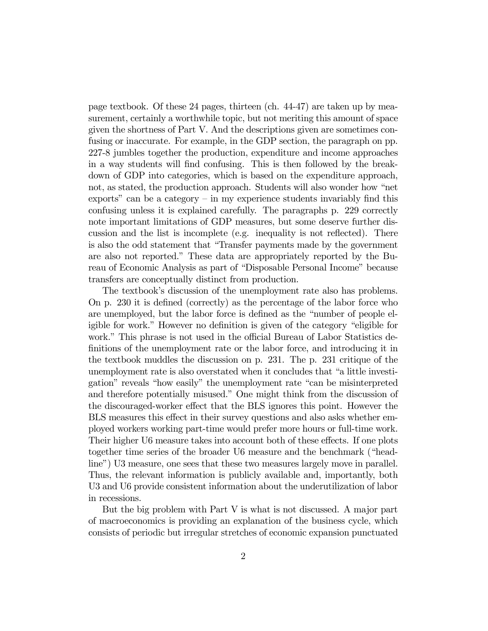page textbook. Of these 24 pages, thirteen (ch. 44-47) are taken up by measurement, certainly a worthwhile topic, but not meriting this amount of space given the shortness of Part V. And the descriptions given are sometimes confusing or inaccurate. For example, in the GDP section, the paragraph on pp. 227-8 jumbles together the production, expenditure and income approaches in a way students will find confusing. This is then followed by the breakdown of GDP into categories, which is based on the expenditure approach, not, as stated, the production approach. Students will also wonder how "net exports" can be a category  $-$  in my experience students invariably find this confusing unless it is explained carefully. The paragraphs p. 229 correctly note important limitations of GDP measures, but some deserve further discussion and the list is incomplete (e.g. inequality is not reflected). There is also the odd statement that "Transfer payments made by the government are also not reported." These data are appropriately reported by the Bureau of Economic Analysis as part of "Disposable Personal Income" because transfers are conceptually distinct from production.

The textbook's discussion of the unemployment rate also has problems. On p. 230 it is defined (correctly) as the percentage of the labor force who are unemployed, but the labor force is defined as the "number of people eligible for work." However no definition is given of the category "eligible for work." This phrase is not used in the official Bureau of Labor Statistics definitions of the unemployment rate or the labor force, and introducing it in the textbook muddles the discussion on p. 231. The p. 231 critique of the unemployment rate is also overstated when it concludes that "a little investigation" reveals "how easily" the unemployment rate "can be misinterpreted and therefore potentially misused." One might think from the discussion of the discouraged-worker effect that the BLS ignores this point. However the BLS measures this effect in their survey questions and also asks whether employed workers working part-time would prefer more hours or full-time work. Their higher U6 measure takes into account both of these effects. If one plots together time series of the broader U6 measure and the benchmark ("headline") U3 measure, one sees that these two measures largely move in parallel. Thus, the relevant information is publicly available and, importantly, both U3 and U6 provide consistent information about the underutilization of labor in recessions.

But the big problem with Part V is what is not discussed. A major part of macroeconomics is providing an explanation of the business cycle, which consists of periodic but irregular stretches of economic expansion punctuated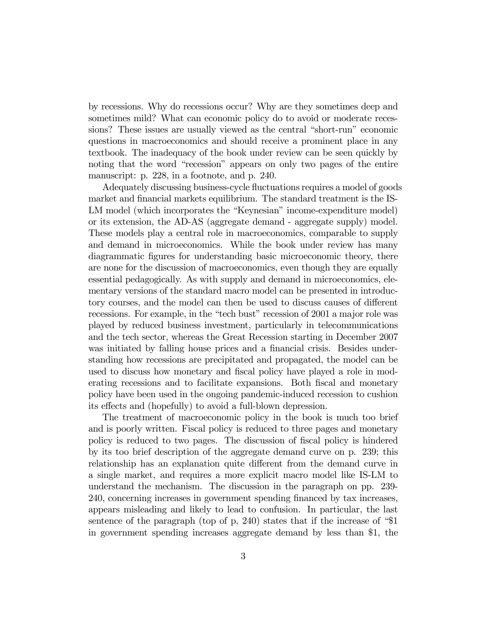by recessions. Why do recessions occur? Why are they sometimes deep and sometimes mild? What can economic policy do to avoid or moderate recessions? These issues are usually viewed as the central "short-run" economic questions in macroeconomics and should receive a prominent place in any textbook. The inadequacy of the book under review can be seen quickly by noting that the word "recession" appears on only two pages of the entire manuscript: p. 228, in a footnote, and p. 240.

Adequately discussing business-cycle fluctuations requires a model of goods market and financial markets equilibrium. The standard treatment is the IS-LM model (which incorporates the "Keynesian" income-expenditure model) or its extension, the AD-AS (aggregate demand - aggregate supply) model. These models play a central role in macroeconomics, comparable to supply and demand in microeconomics. While the book under review has many diagrammatic figures for understanding basic microeconomic theory, there are none for the discussion of macroeconomics, even though they are equally essential pedagogically. As with supply and demand in microeconomics, elementary versions of the standard macro model can be presented in introductory courses, and the model can then be used to discuss causes of different recessions. For example, in the "tech bust" recession of 2001 a major role was played by reduced business investment, particularly in telecommunications and the tech sector, whereas the Great Recession starting in December 2007 was initiated by falling house prices and a financial crisis. Besides understanding how recessions are precipitated and propagated, the model can be used to discuss how monetary and fiscal policy have played a role in moderating recessions and to facilitate expansions. Both fiscal and monetary policy have been used in the ongoing pandemic-induced recession to cushion its effects and (hopefully) to avoid a full-blown depression.

The treatment of macroeconomic policy in the book is much too brief and is poorly written. Fiscal policy is reduced to three pages and monetary policy is reduced to two pages. The discussion of fiscal policy is hindered by its too brief description of the aggregate demand curve on p. 239; this relationship has an explanation quite different from the demand curve in a single market, and requires a more explicit macro model like IS-LM to understand the mechanism. The discussion in the paragraph on pp. 239- 240, concerning increases in government spending financed by tax increases, appears misleading and likely to lead to confusion. In particular, the last sentence of the paragraph (top of p, 240) states that if the increase of "\$1 in government spending increases aggregate demand by less than \$1, the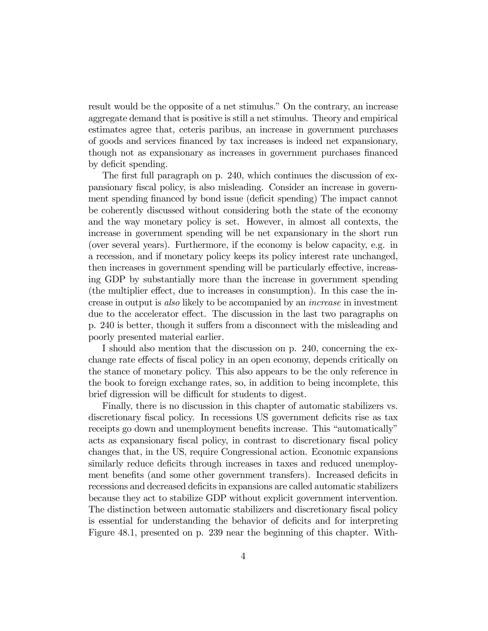result would be the opposite of a net stimulus." On the contrary, an increase aggregate demand that is positive is still a net stimulus. Theory and empirical estimates agree that, ceteris paribus, an increase in government purchases of goods and services financed by tax increases is indeed net expansionary, though not as expansionary as increases in government purchases financed by deficit spending.

The first full paragraph on p. 240, which continues the discussion of expansionary fiscal policy, is also misleading. Consider an increase in government spending financed by bond issue (deficit spending) The impact cannot be coherently discussed without considering both the state of the economy and the way monetary policy is set. However, in almost all contexts, the increase in government spending will be net expansionary in the short run (over several years). Furthermore, if the economy is below capacity, e.g. in a recession, and if monetary policy keeps its policy interest rate unchanged, then increases in government spending will be particularly effective, increasing GDP by substantially more than the increase in government spending (the multiplier effect, due to increases in consumption). In this case the increase in output is also likely to be accompanied by an increase in investment due to the accelerator effect. The discussion in the last two paragraphs on p. 240 is better, though it suffers from a disconnect with the misleading and poorly presented material earlier.

I should also mention that the discussion on p. 240, concerning the exchange rate effects of fiscal policy in an open economy, depends critically on the stance of monetary policy. This also appears to be the only reference in the book to foreign exchange rates, so, in addition to being incomplete, this brief digression will be difficult for students to digest.

Finally, there is no discussion in this chapter of automatic stabilizers vs. discretionary fiscal policy. In recessions US government deficits rise as tax receipts go down and unemployment benefits increase. This "automatically" acts as expansionary fiscal policy, in contrast to discretionary fiscal policy changes that, in the US, require Congressional action. Economic expansions similarly reduce deficits through increases in taxes and reduced unemployment benefits (and some other government transfers). Increased deficits in recessions and decreased deficits in expansions are called automatic stabilizers because they act to stabilize GDP without explicit government intervention. The distinction between automatic stabilizers and discretionary fiscal policy is essential for understanding the behavior of deficits and for interpreting Figure 48.1, presented on p. 239 near the beginning of this chapter. With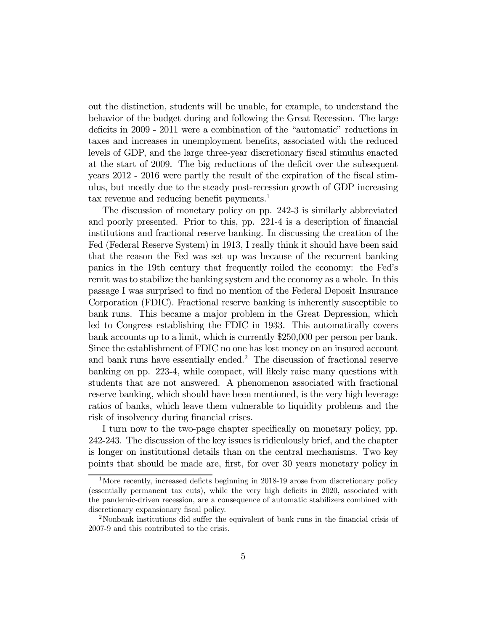out the distinction, students will be unable, for example, to understand the behavior of the budget during and following the Great Recession. The large deficits in 2009 - 2011 were a combination of the "automatic" reductions in taxes and increases in unemployment benefits, associated with the reduced levels of GDP, and the large three-year discretionary fiscal stimulus enacted at the start of 2009. The big reductions of the deficit over the subsequent years 2012 - 2016 were partly the result of the expiration of the fiscal stimulus, but mostly due to the steady post-recession growth of GDP increasing tax revenue and reducing benefit payments.<sup>1</sup>

The discussion of monetary policy on pp. 242-3 is similarly abbreviated and poorly presented. Prior to this, pp. 221-4 is a description of financial institutions and fractional reserve banking. In discussing the creation of the Fed (Federal Reserve System) in 1913, I really think it should have been said that the reason the Fed was set up was because of the recurrent banking panics in the 19th century that frequently roiled the economy: the Fed's remit was to stabilize the banking system and the economy as a whole. In this passage I was surprised to find no mention of the Federal Deposit Insurance Corporation (FDIC). Fractional reserve banking is inherently susceptible to bank runs. This became a major problem in the Great Depression, which led to Congress establishing the FDIC in 1933. This automatically covers bank accounts up to a limit, which is currently \$250,000 per person per bank. Since the establishment of FDIC no one has lost money on an insured account and bank runs have essentially ended.2 The discussion of fractional reserve banking on pp. 223-4, while compact, will likely raise many questions with students that are not answered. A phenomenon associated with fractional reserve banking, which should have been mentioned, is the very high leverage ratios of banks, which leave them vulnerable to liquidity problems and the risk of insolvency during financial crises.

I turn now to the two-page chapter specifically on monetary policy, pp. 242-243. The discussion of the key issues is ridiculously brief, and the chapter is longer on institutional details than on the central mechanisms. Two key points that should be made are, first, for over 30 years monetary policy in

<sup>&</sup>lt;sup>1</sup>More recently, increased deficts beginning in 2018-19 arose from discretionary policy (essentially permanent tax cuts), while the very high deficits in 2020, associated with the pandemic-driven recession, are a consequence of automatic stabilizers combined with discretionary expansionary fiscal policy.

<sup>&</sup>lt;sup>2</sup>Nonbank institutions did suffer the equivalent of bank runs in the financial crisis of 2007-9 and this contributed to the crisis.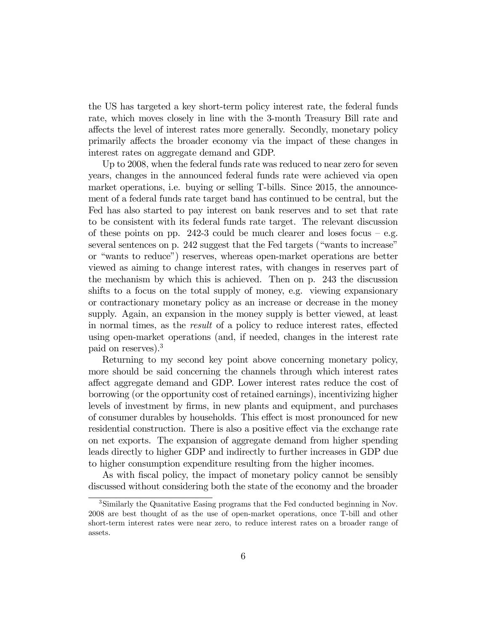the US has targeted a key short-term policy interest rate, the federal funds rate, which moves closely in line with the 3-month Treasury Bill rate and affects the level of interest rates more generally. Secondly, monetary policy primarily affects the broader economy via the impact of these changes in interest rates on aggregate demand and GDP.

Up to 2008, when the federal funds rate was reduced to near zero for seven years, changes in the announced federal funds rate were achieved via open market operations, i.e. buying or selling T-bills. Since 2015, the announcement of a federal funds rate target band has continued to be central, but the Fed has also started to pay interest on bank reserves and to set that rate to be consistent with its federal funds rate target. The relevant discussion of these points on pp. 242-3 could be much clearer and loses focus  $-$  e.g. several sentences on p. 242 suggest that the Fed targets ("wants to increase" or "wants to reduce") reserves, whereas open-market operations are better viewed as aiming to change interest rates, with changes in reserves part of the mechanism by which this is achieved. Then on p. 243 the discussion shifts to a focus on the total supply of money, e.g. viewing expansionary or contractionary monetary policy as an increase or decrease in the money supply. Again, an expansion in the money supply is better viewed, at least in normal times, as the result of a policy to reduce interest rates, effected using open-market operations (and, if needed, changes in the interest rate paid on reserves).3

Returning to my second key point above concerning monetary policy, more should be said concerning the channels through which interest rates affect aggregate demand and GDP. Lower interest rates reduce the cost of borrowing (or the opportunity cost of retained earnings), incentivizing higher levels of investment by firms, in new plants and equipment, and purchases of consumer durables by households. This effect is most pronounced for new residential construction. There is also a positive effect via the exchange rate on net exports. The expansion of aggregate demand from higher spending leads directly to higher GDP and indirectly to further increases in GDP due to higher consumption expenditure resulting from the higher incomes.

As with fiscal policy, the impact of monetary policy cannot be sensibly discussed without considering both the state of the economy and the broader

<sup>&</sup>lt;sup>3</sup>Similarly the Quanitative Easing programs that the Fed conducted beginning in Nov. 2008 are best thought of as the use of open-market operations, once T-bill and other short-term interest rates were near zero, to reduce interest rates on a broader range of assets.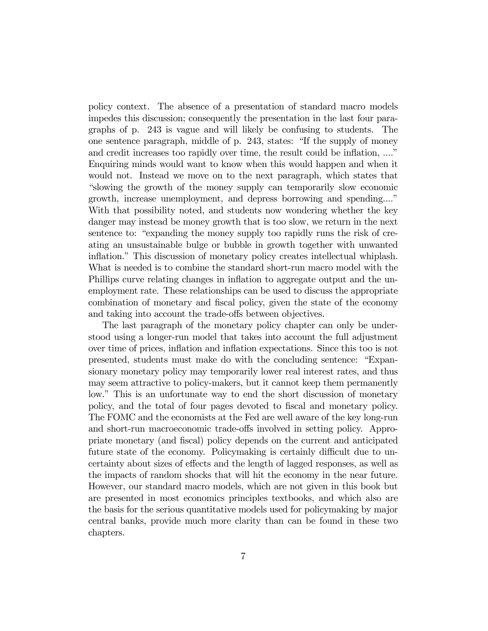policy context. The absence of a presentation of standard macro models impedes this discussion; consequently the presentation in the last four paragraphs of p. 243 is vague and will likely be confusing to students. The one sentence paragraph, middle of p. 243, states: "If the supply of money and credit increases too rapidly over time, the result could be inflation, ...." Enquiring minds would want to know when this would happen and when it would not. Instead we move on to the next paragraph, which states that "slowing the growth of the money supply can temporarily slow economic growth, increase unemployment, and depress borrowing and spending...." With that possibility noted, and students now wondering whether the key danger may instead be money growth that is too slow, we return in the next sentence to: "expanding the money supply too rapidly runs the risk of creating an unsustainable bulge or bubble in growth together with unwanted inflation." This discussion of monetary policy creates intellectual whiplash. What is needed is to combine the standard short-run macro model with the Phillips curve relating changes in inflation to aggregate output and the unemployment rate. These relationships can be used to discuss the appropriate combination of monetary and fiscal policy, given the state of the economy and taking into account the trade-offs between objectives.

The last paragraph of the monetary policy chapter can only be understood using a longer-run model that takes into account the full adjustment over time of prices, inflation and inflation expectations. Since this too is not presented, students must make do with the concluding sentence: "Expansionary monetary policy may temporarily lower real interest rates, and thus may seem attractive to policy-makers, but it cannot keep them permanently low." This is an unfortunate way to end the short discussion of monetary policy, and the total of four pages devoted to fiscal and monetary policy. The FOMC and the economists at the Fed are well aware of the key long-run and short-run macroeconomic trade-offs involved in setting policy. Appropriate monetary (and fiscal) policy depends on the current and anticipated future state of the economy. Policymaking is certainly difficult due to uncertainty about sizes of effects and the length of lagged responses, as well as the impacts of random shocks that will hit the economy in the near future. However, our standard macro models, which are not given in this book but are presented in most economics principles textbooks, and which also are the basis for the serious quantitative models used for policymaking by major central banks, provide much more clarity than can be found in these two chapters.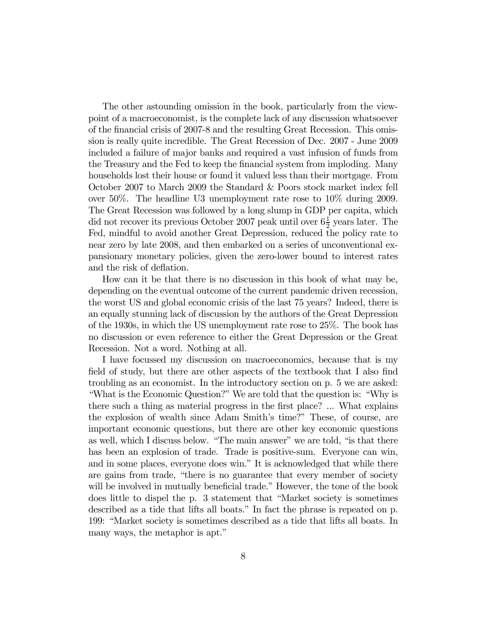The other astounding omission in the book, particularly from the viewpoint of a macroeconomist, is the complete lack of any discussion whatsoever of the financial crisis of 2007-8 and the resulting Great Recession. This omission is really quite incredible. The Great Recession of Dec. 2007 - June 2009 included a failure of major banks and required a vast infusion of funds from the Treasury and the Fed to keep the financial system from imploding. Many households lost their house or found it valued less than their mortgage. From October 2007 to March 2009 the Standard & Poors stock market index fell over 50%. The headline U3 unemployment rate rose to 10% during 2009. The Great Recession was followed by a long slump in GDP per capita, which did not recover its previous October 2007 peak until over  $6\frac{1}{2}$  years later. The Fed, mindful to avoid another Great Depression, reduced the policy rate to near zero by late 2008, and then embarked on a series of unconventional expansionary monetary policies, given the zero-lower bound to interest rates and the risk of deflation.

How can it be that there is no discussion in this book of what may be, depending on the eventual outcome of the current pandemic driven recession, the worst US and global economic crisis of the last 75 years? Indeed, there is an equally stunning lack of discussion by the authors of the Great Depression of the 1930s, in which the US unemployment rate rose to 25%. The book has no discussion or even reference to either the Great Depression or the Great Recession. Not a word. Nothing at all.

I have focussed my discussion on macroeconomics, because that is my field of study, but there are other aspects of the textbook that I also find troubling as an economist. In the introductory section on p. 5 we are asked: "What is the Economic Question?" We are told that the question is: "Why is there such a thing as material progress in the first place? ... What explains the explosion of wealth since Adam Smith's time?" These, of course, are important economic questions, but there are other key economic questions as well, which I discuss below. "The main answer" we are told, "is that there has been an explosion of trade. Trade is positive-sum. Everyone can win, and in some places, everyone does win." It is acknowledged that while there are gains from trade, "there is no guarantee that every member of society will be involved in mutually beneficial trade." However, the tone of the book does little to dispel the p. 3 statement that "Market society is sometimes described as a tide that lifts all boats." In fact the phrase is repeated on p. 199: "Market society is sometimes described as a tide that lifts all boats. In many ways, the metaphor is apt."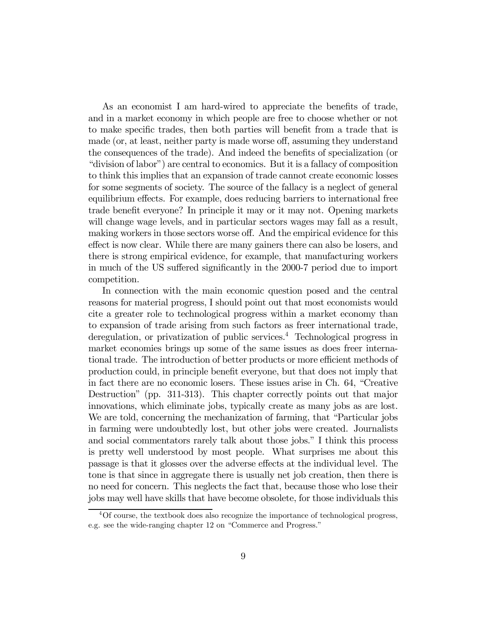As an economist I am hard-wired to appreciate the benefits of trade, and in a market economy in which people are free to choose whether or not to make specific trades, then both parties will benefit from a trade that is made (or, at least, neither party is made worse off, assuming they understand the consequences of the trade). And indeed the benefits of specialization (or "division of labor") are central to economics. But it is a fallacy of composition to think this implies that an expansion of trade cannot create economic losses for some segments of society. The source of the fallacy is a neglect of general equilibrium effects. For example, does reducing barriers to international free trade benefit everyone? In principle it may or it may not. Opening markets will change wage levels, and in particular sectors wages may fall as a result, making workers in those sectors worse off. And the empirical evidence for this effect is now clear. While there are many gainers there can also be losers, and there is strong empirical evidence, for example, that manufacturing workers in much of the US suffered significantly in the 2000-7 period due to import competition.

In connection with the main economic question posed and the central reasons for material progress, I should point out that most economists would cite a greater role to technological progress within a market economy than to expansion of trade arising from such factors as freer international trade, deregulation, or privatization of public services.<sup>4</sup> Technological progress in market economies brings up some of the same issues as does freer international trade. The introduction of better products or more efficient methods of production could, in principle benefit everyone, but that does not imply that in fact there are no economic losers. These issues arise in Ch. 64, "Creative Destruction" (pp. 311-313). This chapter correctly points out that major innovations, which eliminate jobs, typically create as many jobs as are lost. We are told, concerning the mechanization of farming, that "Particular jobs in farming were undoubtedly lost, but other jobs were created. Journalists and social commentators rarely talk about those jobs." I think this process is pretty well understood by most people. What surprises me about this passage is that it glosses over the adverse effects at the individual level. The tone is that since in aggregate there is usually net job creation, then there is no need for concern. This neglects the fact that, because those who lose their jobs may well have skills that have become obsolete, for those individuals this

<sup>4</sup>Of course, the textbook does also recognize the importance of technological progress, e.g. see the wide-ranging chapter 12 on "Commerce and Progress."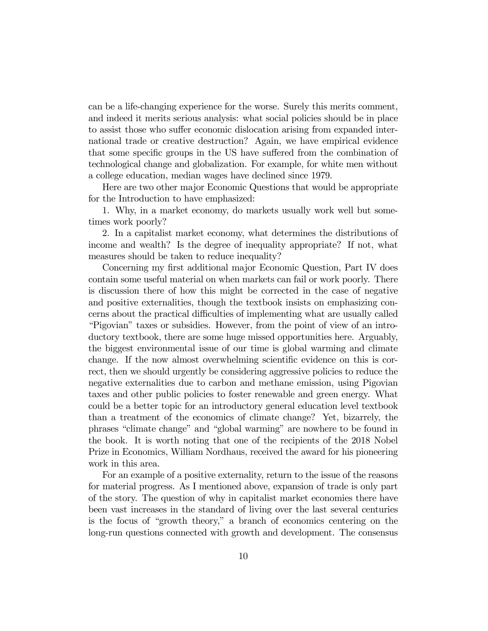can be a life-changing experience for the worse. Surely this merits comment, and indeed it merits serious analysis: what social policies should be in place to assist those who suffer economic dislocation arising from expanded international trade or creative destruction? Again, we have empirical evidence that some specific groups in the US have suffered from the combination of technological change and globalization. For example, for white men without a college education, median wages have declined since 1979.

Here are two other major Economic Questions that would be appropriate for the Introduction to have emphasized:

1. Why, in a market economy, do markets usually work well but sometimes work poorly?

2. In a capitalist market economy, what determines the distributions of income and wealth? Is the degree of inequality appropriate? If not, what measures should be taken to reduce inequality?

Concerning my first additional major Economic Question, Part IV does contain some useful material on when markets can fail or work poorly. There is discussion there of how this might be corrected in the case of negative and positive externalities, though the textbook insists on emphasizing concerns about the practical difficulties of implementing what are usually called "Pigovian" taxes or subsidies. However, from the point of view of an introductory textbook, there are some huge missed opportunities here. Arguably, the biggest environmental issue of our time is global warming and climate change. If the now almost overwhelming scientific evidence on this is correct, then we should urgently be considering aggressive policies to reduce the negative externalities due to carbon and methane emission, using Pigovian taxes and other public policies to foster renewable and green energy. What could be a better topic for an introductory general education level textbook than a treatment of the economics of climate change? Yet, bizarrely, the phrases "climate change" and "global warming" are nowhere to be found in the book. It is worth noting that one of the recipients of the 2018 Nobel Prize in Economics, William Nordhaus, received the award for his pioneering work in this area.

For an example of a positive externality, return to the issue of the reasons for material progress. As I mentioned above, expansion of trade is only part of the story. The question of why in capitalist market economies there have been vast increases in the standard of living over the last several centuries is the focus of "growth theory," a branch of economics centering on the long-run questions connected with growth and development. The consensus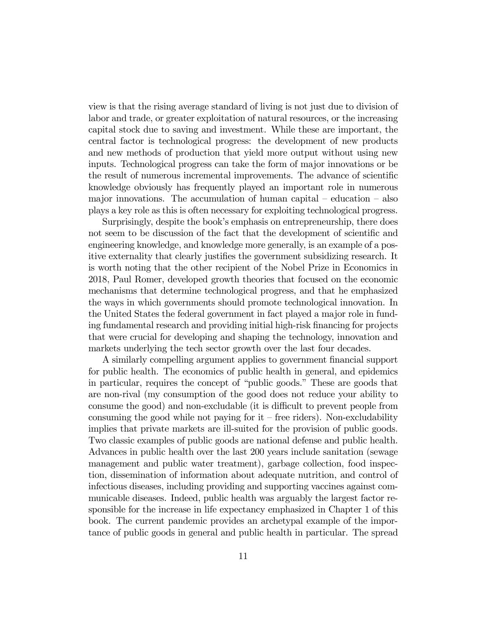view is that the rising average standard of living is not just due to division of labor and trade, or greater exploitation of natural resources, or the increasing capital stock due to saving and investment. While these are important, the central factor is technological progress: the development of new products and new methods of production that yield more output without using new inputs. Technological progress can take the form of major innovations or be the result of numerous incremental improvements. The advance of scientific knowledge obviously has frequently played an important role in numerous major innovations. The accumulation of human capital  $-$  education  $-$  also plays a key role as this is often necessary for exploiting technological progress.

Surprisingly, despite the book's emphasis on entrepreneurship, there does not seem to be discussion of the fact that the development of scientific and engineering knowledge, and knowledge more generally, is an example of a positive externality that clearly justifies the government subsidizing research. It is worth noting that the other recipient of the Nobel Prize in Economics in 2018, Paul Romer, developed growth theories that focused on the economic mechanisms that determine technological progress, and that he emphasized the ways in which governments should promote technological innovation. In the United States the federal government in fact played a major role in funding fundamental research and providing initial high-risk financing for projects that were crucial for developing and shaping the technology, innovation and markets underlying the tech sector growth over the last four decades.

A similarly compelling argument applies to government financial support for public health. The economics of public health in general, and epidemics in particular, requires the concept of "public goods." These are goods that are non-rival (my consumption of the good does not reduce your ability to consume the good) and non-excludable (it is difficult to prevent people from consuming the good while not paying for  $it$  – free riders). Non-excludability implies that private markets are ill-suited for the provision of public goods. Two classic examples of public goods are national defense and public health. Advances in public health over the last 200 years include sanitation (sewage management and public water treatment), garbage collection, food inspection, dissemination of information about adequate nutrition, and control of infectious diseases, including providing and supporting vaccines against communicable diseases. Indeed, public health was arguably the largest factor responsible for the increase in life expectancy emphasized in Chapter 1 of this book. The current pandemic provides an archetypal example of the importance of public goods in general and public health in particular. The spread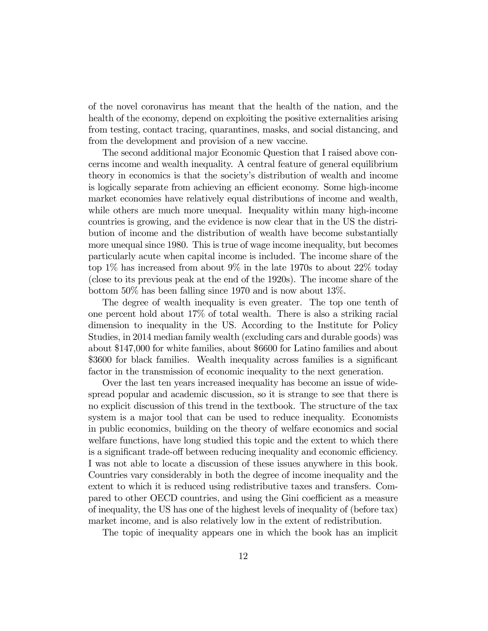of the novel coronavirus has meant that the health of the nation, and the health of the economy, depend on exploiting the positive externalities arising from testing, contact tracing, quarantines, masks, and social distancing, and from the development and provision of a new vaccine.

The second additional major Economic Question that I raised above concerns income and wealth inequality. A central feature of general equilibrium theory in economics is that the society's distribution of wealth and income is logically separate from achieving an efficient economy. Some high-income market economies have relatively equal distributions of income and wealth, while others are much more unequal. Inequality within many high-income countries is growing, and the evidence is now clear that in the US the distribution of income and the distribution of wealth have become substantially more unequal since 1980. This is true of wage income inequality, but becomes particularly acute when capital income is included. The income share of the top 1% has increased from about 9% in the late 1970s to about 22% today (close to its previous peak at the end of the 1920s). The income share of the bottom 50% has been falling since 1970 and is now about 13%.

The degree of wealth inequality is even greater. The top one tenth of one percent hold about 17% of total wealth. There is also a striking racial dimension to inequality in the US. According to the Institute for Policy Studies, in 2014 median family wealth (excluding cars and durable goods) was about \$147,000 for white families, about \$6600 for Latino families and about \$3600 for black families. Wealth inequality across families is a significant factor in the transmission of economic inequality to the next generation.

Over the last ten years increased inequality has become an issue of widespread popular and academic discussion, so it is strange to see that there is no explicit discussion of this trend in the textbook. The structure of the tax system is a major tool that can be used to reduce inequality. Economists in public economics, building on the theory of welfare economics and social welfare functions, have long studied this topic and the extent to which there is a significant trade-off between reducing inequality and economic efficiency. I was not able to locate a discussion of these issues anywhere in this book. Countries vary considerably in both the degree of income inequality and the extent to which it is reduced using redistributive taxes and transfers. Compared to other OECD countries, and using the Gini coefficient as a measure of inequality, the US has one of the highest levels of inequality of (before tax) market income, and is also relatively low in the extent of redistribution.

The topic of inequality appears one in which the book has an implicit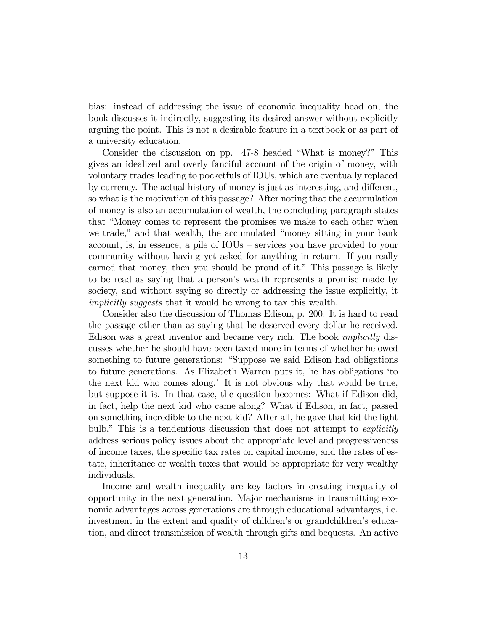bias: instead of addressing the issue of economic inequality head on, the book discusses it indirectly, suggesting its desired answer without explicitly arguing the point. This is not a desirable feature in a textbook or as part of a university education.

Consider the discussion on pp. 47-8 headed "What is money?" This gives an idealized and overly fanciful account of the origin of money, with voluntary trades leading to pocketfuls of IOUs, which are eventually replaced by currency. The actual history of money is just as interesting, and different, so what is the motivation of this passage? After noting that the accumulation of money is also an accumulation of wealth, the concluding paragraph states that "Money comes to represent the promises we make to each other when we trade," and that wealth, the accumulated "money sitting in your bank account, is, in essence, a pile of IOUs — services you have provided to your community without having yet asked for anything in return. If you really earned that money, then you should be proud of it." This passage is likely to be read as saying that a person's wealth represents a promise made by society, and without saying so directly or addressing the issue explicitly, it implicitly suggests that it would be wrong to tax this wealth.

Consider also the discussion of Thomas Edison, p. 200. It is hard to read the passage other than as saying that he deserved every dollar he received. Edison was a great inventor and became very rich. The book implicitly discusses whether he should have been taxed more in terms of whether he owed something to future generations: "Suppose we said Edison had obligations to future generations. As Elizabeth Warren puts it, he has obligations 'to the next kid who comes along.' It is not obvious why that would be true, but suppose it is. In that case, the question becomes: What if Edison did, in fact, help the next kid who came along? What if Edison, in fact, passed on something incredible to the next kid? After all, he gave that kid the light bulb." This is a tendentious discussion that does not attempt to *explicitly* address serious policy issues about the appropriate level and progressiveness of income taxes, the specific tax rates on capital income, and the rates of estate, inheritance or wealth taxes that would be appropriate for very wealthy individuals.

Income and wealth inequality are key factors in creating inequality of opportunity in the next generation. Major mechanisms in transmitting economic advantages across generations are through educational advantages, i.e. investment in the extent and quality of children's or grandchildren's education, and direct transmission of wealth through gifts and bequests. An active